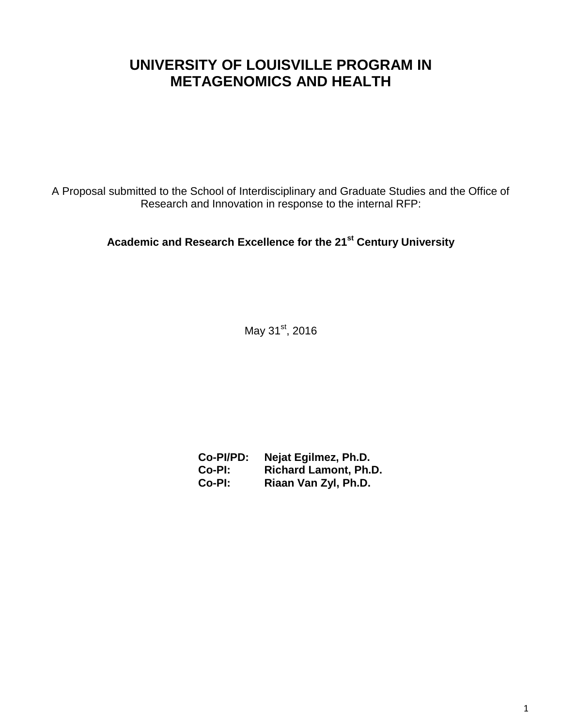# **UNIVERSITY OF LOUISVILLE PROGRAM IN METAGENOMICS AND HEALTH**

A Proposal submitted to the School of Interdisciplinary and Graduate Studies and the Office of Research and Innovation in response to the internal RFP:

## **Academic and Research Excellence for the 21st Century University**

May 31<sup>st</sup>, 2016

| Co-PI/PD: | Nejat Egilmez, Ph.D.         |
|-----------|------------------------------|
| Co-PI:    | <b>Richard Lamont, Ph.D.</b> |
| Co-PI:    | Riaan Van Zyl, Ph.D.         |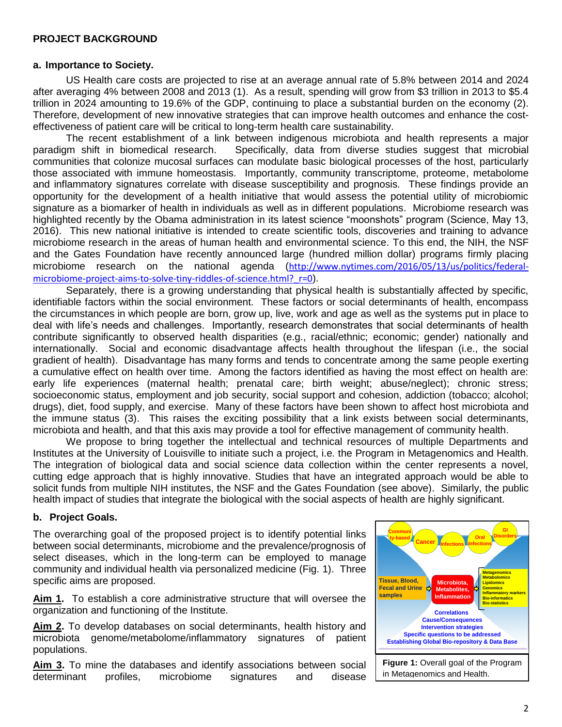#### **PROJECT BACKGROUND**

#### **a. Importance to Society.**

US Health care costs are projected to rise at an average annual rate of 5.8% between 2014 and 2024 after averaging 4% between 2008 and 2013 (1). As a result, spending will grow from \$3 trillion in 2013 to \$5.4 trillion in 2024 amounting to 19.6% of the GDP, continuing to place a substantial burden on the economy (2). Therefore, development of new innovative strategies that can improve health outcomes and enhance the costeffectiveness of patient care will be critical to long-term health care sustainability.

The recent establishment of a link between indigenous microbiota and health represents a major paradigm shift in biomedical research. Specifically, data from diverse studies suggest that microbial communities that colonize mucosal surfaces can modulate basic biological processes of the host, particularly those associated with immune homeostasis. Importantly, community transcriptome, proteome, metabolome and inflammatory signatures correlate with disease susceptibility and prognosis. These findings provide an opportunity for the development of a health initiative that would assess the potential utility of microbiomic signature as a biomarker of health in individuals as well as in different populations. Microbiome research was highlighted recently by the Obama administration in its latest science "moonshots" program (Science, May 13, 2016). This new national initiative is intended to create scientific tools, discoveries and training to advance microbiome research in the areas of human health and environmental science. To this end, the NIH, the NSF and the Gates Foundation have recently announced large (hundred million dollar) programs firmly placing microbiome research on the national agenda ([http://www.nytimes.com/2016/05/13/us/politics/federal](http://www.nytimes.com/2016/05/13/us/politics/federal-microbiome-project-aims-to-solve-tiny-riddles-of-science.html?_r=0)microbiome-project-aims-to-solve-tiny-riddles-of-science.html? r=0).

Separately, there is a growing understanding that physical health is substantially affected by specific, identifiable factors within the social environment. These factors or social determinants of health, encompass the circumstances in which people are born, grow up, live, work and age as well as the systems put in place to deal with life's needs and challenges. Importantly, research demonstrates that social determinants of health contribute significantly to observed health disparities (e.g., racial/ethnic; economic; gender) nationally and internationally. Social and economic disadvantage affects health throughout the lifespan (i.e., the social gradient of health). Disadvantage has many forms and tends to concentrate among the same people exerting a cumulative effect on health over time. Among the factors identified as having the most effect on health are: early life experiences (maternal health; prenatal care; birth weight; abuse/neglect); chronic stress; socioeconomic status, employment and job security, social support and cohesion, addiction (tobacco; alcohol; drugs), diet, food supply, and exercise. Many of these factors have been shown to affect host microbiota and the immune status (3). This raises the exciting possibility that a link exists between social determinants, microbiota and health, and that this axis may provide a tool for effective management of community health.

We propose to bring together the intellectual and technical resources of multiple Departments and Institutes at the University of Louisville to initiate such a project, i.e. the Program in Metagenomics and Health. The integration of biological data and social science data collection within the center represents a novel, cutting edge approach that is highly innovative. Studies that have an integrated approach would be able to solicit funds from multiple NIH institutes, the NSF and the Gates Foundation (see above). Similarly, the public health impact of studies that integrate the biological with the social aspects of health are highly significant.

#### **b. Project Goals.**

The overarching goal of the proposed project is to identify potential links between social determinants, microbiome and the prevalence/prognosis of select diseases, which in the long-term can be employed to manage community and individual health via personalized medicine (Fig. 1). Three specific aims are proposed.

**Aim 1.** To establish a core administrative structure that will oversee the organization and functioning of the Institute.

**Aim 2.** To develop databases on social determinants, health history and microbiota genome/metabolome/inflammatory signatures of patient populations.

**Aim 3.** To mine the databases and identify associations between social determinant profiles, microbiome signatures and disease

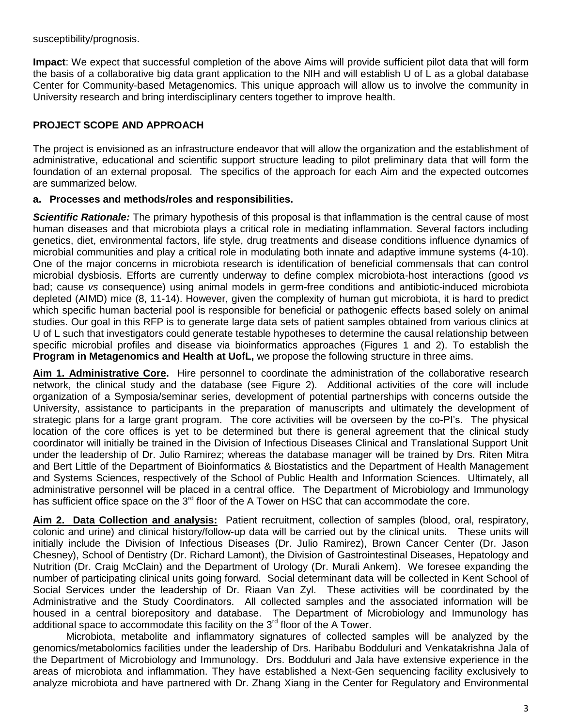susceptibility/prognosis.

**Impact**: We expect that successful completion of the above Aims will provide sufficient pilot data that will form the basis of a collaborative big data grant application to the NIH and will establish U of L as a global database Center for Community-based Metagenomics. This unique approach will allow us to involve the community in University research and bring interdisciplinary centers together to improve health.

## **PROJECT SCOPE AND APPROACH**

The project is envisioned as an infrastructure endeavor that will allow the organization and the establishment of administrative, educational and scientific support structure leading to pilot preliminary data that will form the foundation of an external proposal. The specifics of the approach for each Aim and the expected outcomes are summarized below.

#### **a. Processes and methods/roles and responsibilities.**

*Scientific Rationale:* The primary hypothesis of this proposal is that inflammation is the central cause of most human diseases and that microbiota plays a critical role in mediating inflammation. Several factors including genetics, diet, environmental factors, life style, drug treatments and disease conditions influence dynamics of microbial communities and play a critical role in modulating both innate and adaptive immune systems (4-10). One of the major concerns in microbiota research is identification of beneficial commensals that can control microbial dysbiosis. Efforts are currently underway to define complex microbiota-host interactions (good *vs* bad; cause *vs* consequence) using animal models in germ-free conditions and antibiotic-induced microbiota depleted (AIMD) mice (8, 11-14). However, given the complexity of human gut microbiota, it is hard to predict which specific human bacterial pool is responsible for beneficial or pathogenic effects based solely on animal studies. Our goal in this RFP is to generate large data sets of patient samples obtained from various clinics at U of L such that investigators could generate testable hypotheses to determine the causal relationship between specific microbial profiles and disease via bioinformatics approaches (Figures 1 and 2). To establish the **Program in Metagenomics and Health at UofL,** we propose the following structure in three aims.

**Aim 1. Administrative Core.** Hire personnel to coordinate the administration of the collaborative research network, the clinical study and the database (see Figure 2). Additional activities of the core will include organization of a Symposia/seminar series, development of potential partnerships with concerns outside the University, assistance to participants in the preparation of manuscripts and ultimately the development of strategic plans for a large grant program. The core activities will be overseen by the co-PI's. The physical location of the core offices is yet to be determined but there is general agreement that the clinical study coordinator will initially be trained in the Division of Infectious Diseases Clinical and Translational Support Unit under the leadership of Dr. Julio Ramirez; whereas the database manager will be trained by Drs. Riten Mitra and Bert Little of the Department of Bioinformatics & Biostatistics and the Department of Health Management and Systems Sciences, respectively of the School of Public Health and Information Sciences. Ultimately, all administrative personnel will be placed in a central office. The Department of Microbiology and Immunology has sufficient office space on the 3<sup>rd</sup> floor of the A Tower on HSC that can accommodate the core.

**Aim 2. Data Collection and analysis:** Patient recruitment, collection of samples (blood, oral, respiratory, colonic and urine) and clinical history/follow-up data will be carried out by the clinical units. These units will initially include the Division of Infectious Diseases (Dr. Julio Ramirez), Brown Cancer Center (Dr. Jason Chesney), School of Dentistry (Dr. Richard Lamont), the Division of Gastrointestinal Diseases, Hepatology and Nutrition (Dr. Craig McClain) and the Department of Urology (Dr. Murali Ankem). We foresee expanding the number of participating clinical units going forward. Social determinant data will be collected in Kent School of Social Services under the leadership of Dr. Riaan Van Zyl. These activities will be coordinated by the Administrative and the Study Coordinators. All collected samples and the associated information will be housed in a central biorepository and database. The Department of Microbiology and Immunology has additional space to accommodate this facility on the 3<sup>rd</sup> floor of the A Tower.

Microbiota, metabolite and inflammatory signatures of collected samples will be analyzed by the genomics/metabolomics facilities under the leadership of Drs. Haribabu Bodduluri and Venkatakrishna Jala of the Department of Microbiology and Immunology. Drs. Bodduluri and Jala have extensive experience in the areas of microbiota and inflammation. They have established a Next-Gen sequencing facility exclusively to analyze microbiota and have partnered with Dr. Zhang Xiang in the Center for Regulatory and Environmental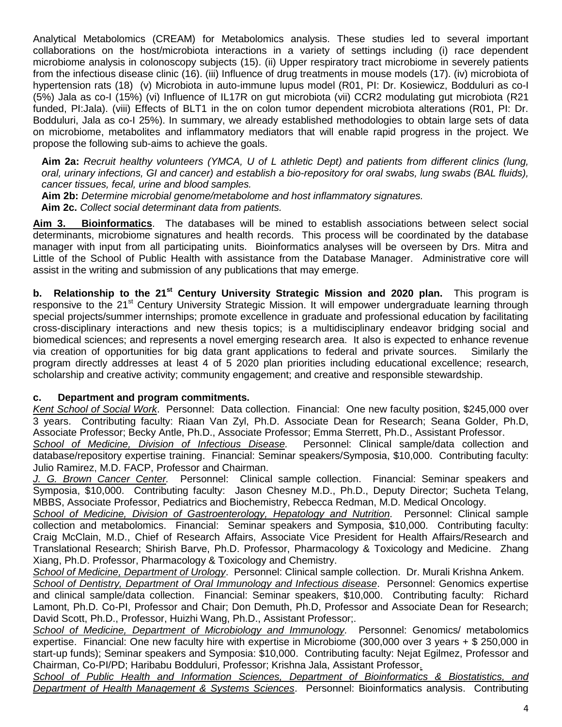Analytical Metabolomics (CREAM) for Metabolomics analysis. These studies led to several important collaborations on the host/microbiota interactions in a variety of settings including (i) race dependent microbiome analysis in colonoscopy subjects (15). (ii) Upper respiratory tract microbiome in severely patients from the infectious disease clinic (16). (iii) Influence of drug treatments in mouse models (17). (iv) microbiota of hypertension rats (18) (v) Microbiota in auto-immune lupus model (R01, PI: Dr. Kosiewicz, Bodduluri as co-I (5%) Jala as co-I (15%) (vi) Influence of IL17R on gut microbiota (vii) CCR2 modulating gut microbiota (R21 funded, PI:Jala). (viii) Effects of BLT1 in the on colon tumor dependent microbiota alterations (R01, PI: Dr. Bodduluri, Jala as co-I 25%). In summary, we already established methodologies to obtain large sets of data on microbiome, metabolites and inflammatory mediators that will enable rapid progress in the project. We propose the following sub-aims to achieve the goals.

**Aim 2a:** *Recruit healthy volunteers (YMCA, U of L athletic Dept) and patients from different clinics (lung, oral, urinary infections, GI and cancer) and establish a bio-repository for oral swabs, lung swabs (BAL fluids), cancer tissues, fecal, urine and blood samples.*

**Aim 2b:** *Determine microbial genome/metabolome and host inflammatory signatures.*

**Aim 2c.** *Collect social determinant data from patients.*

**Aim 3. Bioinformatics**. The databases will be mined to establish associations between select social determinants, microbiome signatures and health records. This process will be coordinated by the database manager with input from all participating units. Bioinformatics analyses will be overseen by Drs. Mitra and Little of the School of Public Health with assistance from the Database Manager. Administrative core will assist in the writing and submission of any publications that may emerge.

**b. Relationship to the 21st Century University Strategic Mission and 2020 plan.** This program is responsive to the 21<sup>st</sup> Century University Strategic Mission. It will empower undergraduate learning through special projects/summer internships; promote excellence in graduate and professional education by facilitating cross-disciplinary interactions and new thesis topics; is a multidisciplinary endeavor bridging social and biomedical sciences; and represents a novel emerging research area. It also is expected to enhance revenue via creation of opportunities for big data grant applications to federal and private sources. Similarly the program directly addresses at least 4 of 5 2020 plan priorities including educational excellence; research, scholarship and creative activity; community engagement; and creative and responsible stewardship.

## **c. Department and program commitments.**

*Kent School of Social Work*. Personnel: Data collection. Financial: One new faculty position, \$245,000 over 3 years. Contributing faculty: Riaan Van Zyl, Ph.D. Associate Dean for Research; Seana Golder, Ph.D, Associate Professor; Becky Antle, Ph.D., Associate Professor; Emma Sterrett, Ph.D., Assistant Professor.

*School of Medicine, Division of Infectious Disease.* Personnel: Clinical sample/data collection and database/repository expertise training. Financial: Seminar speakers/Symposia, \$10,000. Contributing faculty: Julio Ramirez, M.D. FACP, Professor and Chairman.

*J. G. Brown Cancer Center.* Personnel: Clinical sample collection. Financial: Seminar speakers and Symposia, \$10,000. Contributing faculty: Jason Chesney M.D., Ph.D., Deputy Director; Sucheta Telang, MBBS, Associate Professor, Pediatrics and Biochemistry, Rebecca Redman, M.D. Medical Oncology.

*School of Medicine, Division of Gastroenterology, Hepatology and Nutrition.* Personnel: Clinical sample collection and metabolomics. Financial: Seminar speakers and Symposia, \$10,000. Contributing faculty: Craig McClain, M.D., Chief of Research Affairs, Associate Vice President for Health Affairs/Research and Translational Research; Shirish Barve, Ph.D. Professor, Pharmacology & Toxicology and Medicine. Zhang Xiang, Ph.D. Professor, Pharmacology & Toxicology and Chemistry.

*School of Medicine, Department of Urology*. Personnel: Clinical sample collection. Dr. Murali Krishna Ankem.

*School of Dentistry, Department of Oral Immunology and Infectious disease*. Personnel: Genomics expertise and clinical sample/data collection. Financial: Seminar speakers, \$10,000. Contributing faculty: Richard Lamont, Ph.D. Co-PI, Professor and Chair; Don Demuth, Ph.D, Professor and Associate Dean for Research; David Scott, Ph.D., Professor, Huizhi Wang, Ph.D., Assistant Professor;.

*School of Medicine, Department of Microbiology and Immunology.* Personnel: Genomics/ metabolomics expertise. Financial: One new faculty hire with expertise in Microbiome (300,000 over 3 years + \$ 250,000 in start-up funds); Seminar speakers and Symposia: \$10,000. Contributing faculty: Nejat Egilmez, Professor and Chairman, Co-PI/PD; Haribabu Bodduluri, Professor; Krishna Jala, Assistant Professor*.*

*School of Public Health and Information Sciences, Department of Bioinformatics & Biostatistics, and Department of Health Management & Systems Sciences*. Personnel: Bioinformatics analysis. Contributing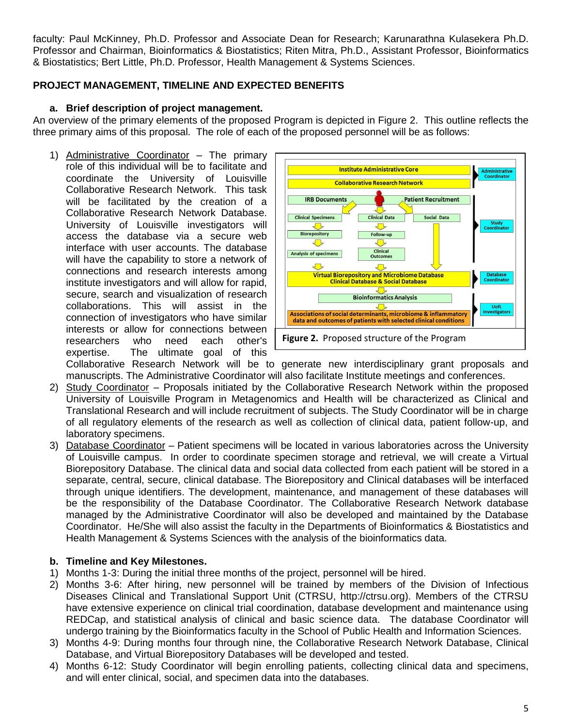faculty: Paul McKinney, Ph.D. Professor and Associate Dean for Research; Karunarathna Kulasekera Ph.D. Professor and Chairman, Bioinformatics & Biostatistics; Riten Mitra, Ph.D., Assistant Professor, Bioinformatics & Biostatistics; Bert Little, Ph.D. Professor, Health Management & Systems Sciences.

## **PROJECT MANAGEMENT, TIMELINE AND EXPECTED BENEFITS**

#### **a. Brief description of project management.**

An overview of the primary elements of the proposed Program is depicted in Figure 2. This outline reflects the three primary aims of this proposal. The role of each of the proposed personnel will be as follows:

1) Administrative Coordinator – The primary role of this individual will be to facilitate and coordinate the University of Louisville Collaborative Research Network. This task will be facilitated by the creation of a Collaborative Research Network Database. University of Louisville investigators will access the database via a secure web interface with user accounts. The database will have the capability to store a network of connections and research interests among institute investigators and will allow for rapid, secure, search and visualization of research collaborations. This will assist in the connection of investigators who have similar interests or allow for connections between researchers who need each other's expertise. The ultimate goal of this



Collaborative Research Network will be to generate new interdisciplinary grant proposals and manuscripts. The Administrative Coordinator will also facilitate Institute meetings and conferences.

- 2) Study Coordinator Proposals initiated by the Collaborative Research Network within the proposed University of Louisville Program in Metagenomics and Health will be characterized as Clinical and Translational Research and will include recruitment of subjects. The Study Coordinator will be in charge of all regulatory elements of the research as well as collection of clinical data, patient follow-up, and laboratory specimens.
- 3) Database Coordinator Patient specimens will be located in various laboratories across the University of Louisville campus. In order to coordinate specimen storage and retrieval, we will create a Virtual Biorepository Database. The clinical data and social data collected from each patient will be stored in a separate, central, secure, clinical database. The Biorepository and Clinical databases will be interfaced through unique identifiers. The development, maintenance, and management of these databases will be the responsibility of the Database Coordinator. The Collaborative Research Network database managed by the Administrative Coordinator will also be developed and maintained by the Database Coordinator. He/She will also assist the faculty in the Departments of Bioinformatics & Biostatistics and Health Management & Systems Sciences with the analysis of the bioinformatics data.

#### **b. Timeline and Key Milestones.**

- 1) Months 1-3: During the initial three months of the project, personnel will be hired.
- 2) Months 3-6: After hiring, new personnel will be trained by members of the Division of Infectious Diseases Clinical and Translational Support Unit (CTRSU, http://ctrsu.org). Members of the CTRSU have extensive experience on clinical trial coordination, database development and maintenance using REDCap, and statistical analysis of clinical and basic science data. The database Coordinator will undergo training by the Bioinformatics faculty in the School of Public Health and Information Sciences.
- 3) Months 4-9: During months four through nine, the Collaborative Research Network Database, Clinical Database, and Virtual Biorepository Databases will be developed and tested.
- 4) Months 6-12: Study Coordinator will begin enrolling patients, collecting clinical data and specimens, and will enter clinical, social, and specimen data into the databases.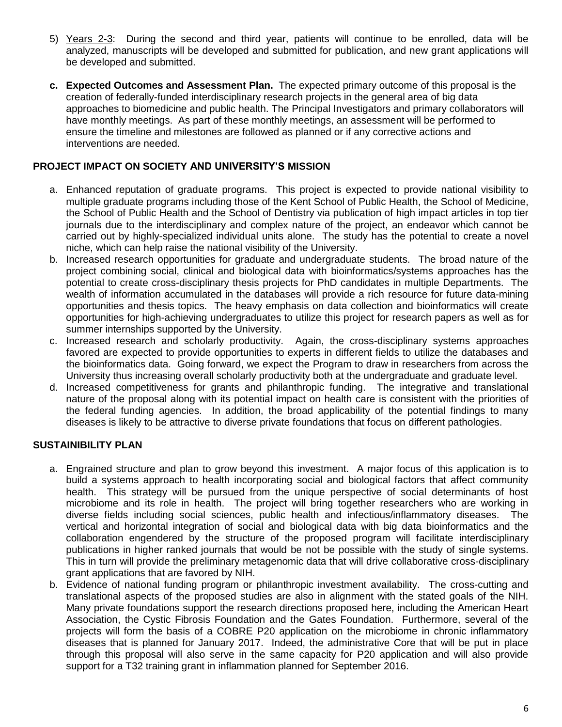- 5) Years 2-3: During the second and third year, patients will continue to be enrolled, data will be analyzed, manuscripts will be developed and submitted for publication, and new grant applications will be developed and submitted.
- **c. Expected Outcomes and Assessment Plan.** The expected primary outcome of this proposal is the creation of federally-funded interdisciplinary research projects in the general area of big data approaches to biomedicine and public health. The Principal Investigators and primary collaborators will have monthly meetings. As part of these monthly meetings, an assessment will be performed to ensure the timeline and milestones are followed as planned or if any corrective actions and interventions are needed.

#### **PROJECT IMPACT ON SOCIETY AND UNIVERSITY'S MISSION**

- a. Enhanced reputation of graduate programs. This project is expected to provide national visibility to multiple graduate programs including those of the Kent School of Public Health, the School of Medicine, the School of Public Health and the School of Dentistry via publication of high impact articles in top tier journals due to the interdisciplinary and complex nature of the project, an endeavor which cannot be carried out by highly-specialized individual units alone. The study has the potential to create a novel niche, which can help raise the national visibility of the University.
- b. Increased research opportunities for graduate and undergraduate students. The broad nature of the project combining social, clinical and biological data with bioinformatics/systems approaches has the potential to create cross-disciplinary thesis projects for PhD candidates in multiple Departments. The wealth of information accumulated in the databases will provide a rich resource for future data-mining opportunities and thesis topics. The heavy emphasis on data collection and bioinformatics will create opportunities for high-achieving undergraduates to utilize this project for research papers as well as for summer internships supported by the University.
- c. Increased research and scholarly productivity. Again, the cross-disciplinary systems approaches favored are expected to provide opportunities to experts in different fields to utilize the databases and the bioinformatics data. Going forward, we expect the Program to draw in researchers from across the University thus increasing overall scholarly productivity both at the undergraduate and graduate level.
- d. Increased competitiveness for grants and philanthropic funding. The integrative and translational nature of the proposal along with its potential impact on health care is consistent with the priorities of the federal funding agencies. In addition, the broad applicability of the potential findings to many diseases is likely to be attractive to diverse private foundations that focus on different pathologies.

## **SUSTAINIBILITY PLAN**

- a. Engrained structure and plan to grow beyond this investment. A major focus of this application is to build a systems approach to health incorporating social and biological factors that affect community health. This strategy will be pursued from the unique perspective of social determinants of host microbiome and its role in health. The project will bring together researchers who are working in diverse fields including social sciences, public health and infectious/inflammatory diseases. The vertical and horizontal integration of social and biological data with big data bioinformatics and the collaboration engendered by the structure of the proposed program will facilitate interdisciplinary publications in higher ranked journals that would be not be possible with the study of single systems. This in turn will provide the preliminary metagenomic data that will drive collaborative cross-disciplinary grant applications that are favored by NIH.
- b. Evidence of national funding program or philanthropic investment availability. The cross-cutting and translational aspects of the proposed studies are also in alignment with the stated goals of the NIH. Many private foundations support the research directions proposed here, including the American Heart Association, the Cystic Fibrosis Foundation and the Gates Foundation. Furthermore, several of the projects will form the basis of a COBRE P20 application on the microbiome in chronic inflammatory diseases that is planned for January 2017. Indeed, the administrative Core that will be put in place through this proposal will also serve in the same capacity for P20 application and will also provide support for a T32 training grant in inflammation planned for September 2016.